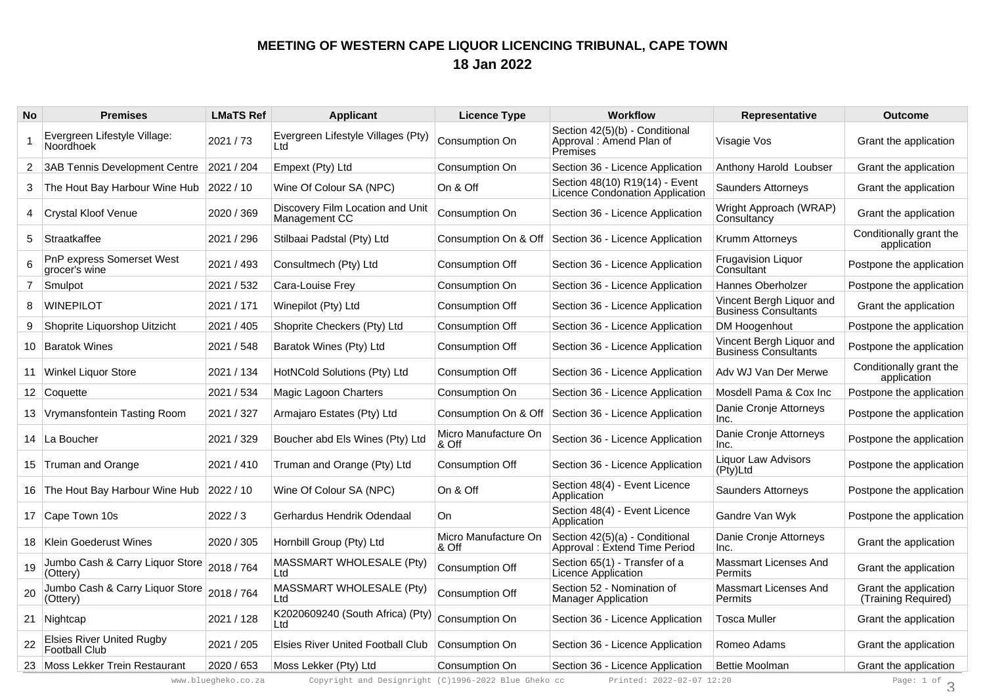## **MEETING OF WESTERN CAPE LIQUOR LICENCING TRIBUNAL, CAPE TOWN18 Jan 2022**

| <b>No</b>      | <b>Premises</b>                                          | <b>LMaTS Ref</b> | <b>Applicant</b>                                  | <b>Licence Type</b>           | <b>Workflow</b>                                                       | <b>Representative</b>                                   | <b>Outcome</b>                               |
|----------------|----------------------------------------------------------|------------------|---------------------------------------------------|-------------------------------|-----------------------------------------------------------------------|---------------------------------------------------------|----------------------------------------------|
|                | Evergreen Lifestyle Village:<br><b>Noordhoek</b>         | 2021 / 73        | Evergreen Lifestyle Villages (Pty)<br>Ltd.        | Consumption On                | Section 42(5)(b) - Conditional<br>Approval: Amend Plan of<br>Premises | Visagie Vos                                             | Grant the application                        |
| $\overline{2}$ | 3AB Tennis Development Centre                            | 2021 / 204       | Empext (Pty) Ltd                                  | Consumption On                | Section 36 - Licence Application                                      | Anthony Harold Loubser                                  | Grant the application                        |
| 3              | The Hout Bay Harbour Wine Hub                            | 2022 / 10        | Wine Of Colour SA (NPC)                           | On & Off                      | Section 48(10) R19(14) - Event<br>Licence Condonation Application     | <b>Saunders Attorneys</b>                               | Grant the application                        |
|                | Crystal Kloof Venue                                      | 2020 / 369       | Discovery Film Location and Unit<br>Management CC | Consumption On                | Section 36 - Licence Application                                      | Wright Approach (WRAP)<br>Consultancy                   | Grant the application                        |
| 5              | Straatkaffee                                             | 2021 / 296       | Stilbaai Padstal (Pty) Ltd                        | Consumption On & Off          | Section 36 - Licence Application                                      | Krumm Attorneys                                         | Conditionally grant the<br>application       |
| 6              | PnP express Somerset West<br>grocer's wine               | 2021 / 493       | Consultmech (Pty) Ltd                             | Consumption Off               | Section 36 - Licence Application                                      | <b>Frugavision Liquor</b><br>Consultant                 | Postpone the application                     |
| 7              | Smulpot                                                  | 2021 / 532       | Cara-Louise Frey                                  | Consumption On                | Section 36 - Licence Application                                      | Hannes Oberholzer                                       | Postpone the application                     |
| 8              | <b>WINEPILOT</b>                                         | 2021 / 171       | Winepilot (Pty) Ltd                               | Consumption Off               | Section 36 - Licence Application                                      | Vincent Bergh Liquor and<br><b>Business Consultants</b> | Grant the application                        |
| 9              | Shoprite Liquorshop Uitzicht                             | 2021 / 405       | Shoprite Checkers (Pty) Ltd                       | Consumption Off               | Section 36 - Licence Application                                      | DM Hoogenhout                                           | Postpone the application                     |
| 10             | <b>Baratok Wines</b>                                     | 2021 / 548       | Baratok Wines (Pty) Ltd                           | Consumption Off               | Section 36 - Licence Application                                      | Vincent Bergh Liquor and<br><b>Business Consultants</b> | Postpone the application                     |
|                | 11 Winkel Liquor Store                                   | 2021 / 134       | HotNCold Solutions (Pty) Ltd                      | Consumption Off               | Section 36 - Licence Application                                      | Adv WJ Van Der Merwe                                    | Conditionally grant the<br>application       |
|                | 12 Coquette                                              | 2021 / 534       | Magic Lagoon Charters                             | Consumption On                | Section 36 - Licence Application                                      | Mosdell Pama & Cox Inc                                  | Postpone the application                     |
|                | 13 Vrymansfontein Tasting Room                           | 2021 / 327       | Armajaro Estates (Pty) Ltd                        | Consumption On & Off          | Section 36 - Licence Application                                      | Danie Cronje Attorneys<br>Inc.                          | Postpone the application                     |
|                | 14   La Boucher                                          | 2021 / 329       | Boucher abd Els Wines (Pty) Ltd                   | Micro Manufacture On<br>& Off | Section 36 - Licence Application                                      | Danie Cronje Attorneys<br>Inc.                          | Postpone the application                     |
|                | 15 Truman and Orange                                     | 2021 / 410       | Truman and Orange (Pty) Ltd                       | <b>Consumption Off</b>        | Section 36 - Licence Application                                      | <b>Liquor Law Advisors</b><br>(Pty)Ltd                  | Postpone the application                     |
|                | 16 The Hout Bay Harbour Wine Hub                         | 2022 / 10        | Wine Of Colour SA (NPC)                           | On & Off                      | Section 48(4) - Event Licence<br>Application                          | <b>Saunders Attorneys</b>                               | Postpone the application                     |
|                | 17 Cape Town 10s                                         | 2022/3           | Gerhardus Hendrik Odendaal                        | On                            | Section 48(4) - Event Licence<br>Application                          | Gandre Van Wyk                                          | Postpone the application                     |
|                | 18   Klein Goederust Wines                               | 2020 / 305       | Hornbill Group (Pty) Ltd                          | Micro Manufacture On<br>& Off | Section 42(5)(a) - Conditional<br>Approval: Extend Time Period        | Danie Cronje Attorneys<br>Inc.                          | Grant the application                        |
| 19             | Jumbo Cash & Carry Liquor Store<br>(Ottery)              | 2018 / 764       | MASSMART WHOLESALE (Pty)<br>Ltd                   | Consumption Off               | Section 65(1) - Transfer of a<br>Licence Application                  | Massmart Licenses And<br>Permits                        | Grant the application                        |
| 20             | Jumbo Cash & Carry Liquor Store 2018 / 764<br>(Ottery)   |                  | MASSMART WHOLESALE (Pty)<br>Ltd                   | Consumption Off               | Section 52 - Nomination of<br><b>Manager Application</b>              | <b>Massmart Licenses And</b><br>Permits                 | Grant the application<br>(Training Required) |
|                | 21 Nightcap                                              | 2021 / 128       | K2020609240 (South Africa) (Pty)<br>Ltd           | Consumption On                | Section 36 - Licence Application                                      | <b>Tosca Muller</b>                                     | Grant the application                        |
| 22             | <b>Elsies River United Rugby</b><br><b>Football Club</b> | 2021 / 205       | <b>Elsies River United Football Club</b>          | Consumption On                | Section 36 - Licence Application                                      | Romeo Adams                                             | Grant the application                        |
|                | 23 Moss Lekker Trein Restaurant                          | 2020 / 653       | Moss Lekker (Pty) Ltd                             | Consumption On                | Section 36 - Licence Application                                      | <b>Bettie Moolman</b>                                   | Grant the application                        |

www.bluegheko.co.za Copyright and Designright (C)1996-2022 Blue Gheko cc Printed: 2022-02-07 12:20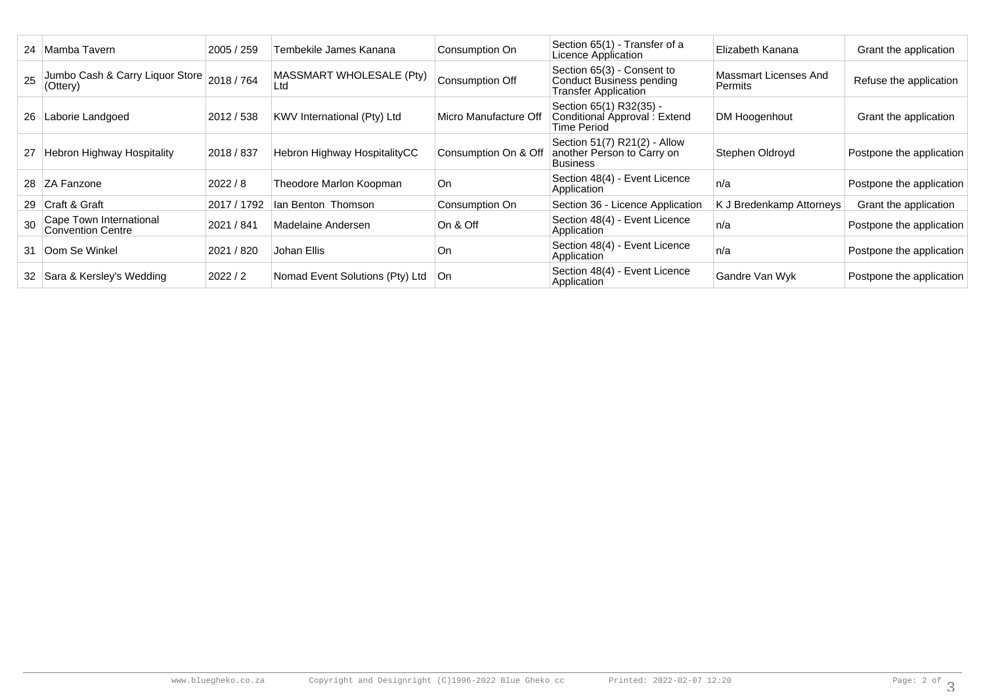|    | 24 Mamba Tavern                                     | 2005 / 259  | Tembekile James Kanana          | Consumption On        | Section 65(1) - Transfer of a<br>Licence Application                           | Elizabeth Kanana                        | Grant the application    |
|----|-----------------------------------------------------|-------------|---------------------------------|-----------------------|--------------------------------------------------------------------------------|-----------------------------------------|--------------------------|
| 25 | Jumbo Cash & Carry Liquor Store<br>(Ottery)         | 2018/764    | MASSMART WHOLESALE (Pty)<br>Ltd | Consumption Off       | Section 65(3) - Consent to<br>Conduct Business pending<br>Transfer Application | Massmart Licenses And<br><b>Permits</b> | Refuse the application   |
| 26 | Laborie Landgoed                                    | 2012 / 538  | KWV International (Pty) Ltd     | Micro Manufacture Off | Section 65(1) R32(35) -<br>Conditional Approval: Extend<br><b>Time Period</b>  | DM Hoogenhout                           | Grant the application    |
| 27 | Hebron Highway Hospitality                          | 2018 / 837  | Hebron Highway HospitalityCC    | Consumption On & Off  | Section 51(7) R21(2) - Allow<br>another Person to Carry on<br>Business         | Stephen Oldroyd                         | Postpone the application |
|    | 28 ZA Fanzone                                       | 2022 / 8    | Theodore Marlon Koopman         | On                    | Section 48(4) - Event Licence<br>Application                                   | n/a                                     | Postpone the application |
|    | 29 Craft & Graft                                    | 2017 / 1792 | lan Benton Thomson              | Consumption On        | Section 36 - Licence Application                                               | K J Bredenkamp Attorneys                | Grant the application    |
|    | Cape Town International<br><b>Convention Centre</b> | 2021 / 841  | Madelaine Andersen              | On & Off              | Section 48(4) - Event Licence<br>Application                                   | ∣n/a                                    | Postpone the application |
| 31 | Oom Se Winkel                                       | 2021 / 820  | Johan Ellis                     | On                    | Section 48(4) - Event Licence<br>Application                                   | n/a                                     | Postpone the application |
| 32 | Sara & Kersley's Wedding                            | 2022/2      | Nomad Event Solutions (Pty) Ltd | ∣On.                  | Section 48(4) - Event Licence<br>Application                                   | Gandre Van Wyk                          | Postpone the application |